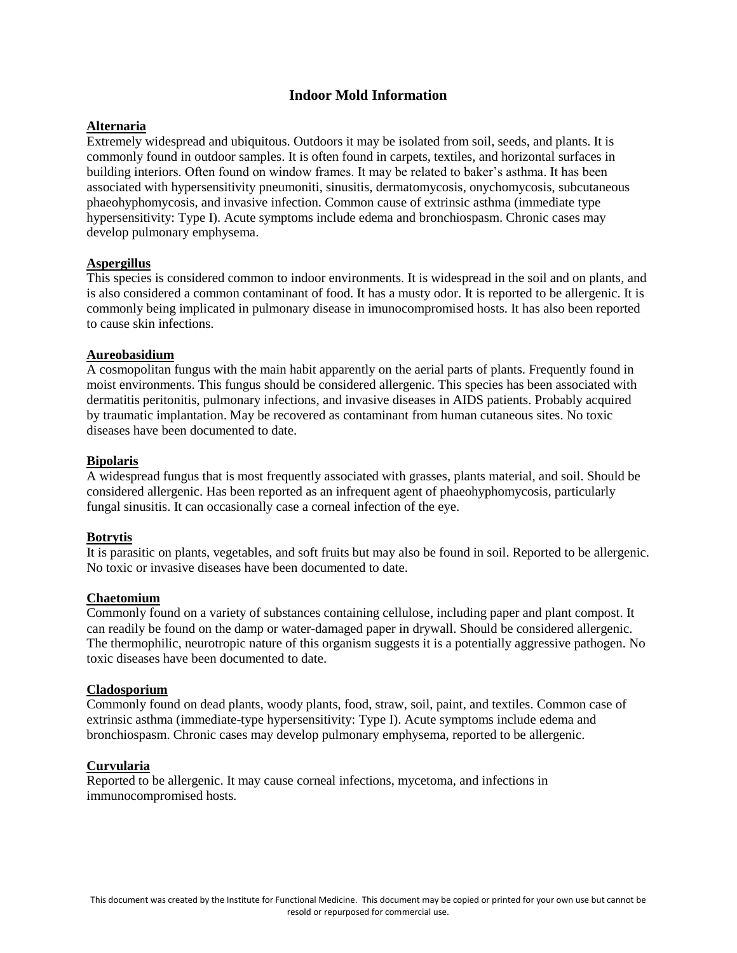# **Indoor Mold Information**

## **Alternaria**

Extremely widespread and ubiquitous. Outdoors it may be isolated from soil, seeds, and plants. It is commonly found in outdoor samples. It is often found in carpets, textiles, and horizontal surfaces in building interiors. Often found on window frames. It may be related to baker's asthma. It has been associated with hypersensitivity pneumoniti, sinusitis, dermatomycosis, onychomycosis, subcutaneous phaeohyphomycosis, and invasive infection. Common cause of extrinsic asthma (immediate type hypersensitivity: Type I). Acute symptoms include edema and bronchiospasm. Chronic cases may develop pulmonary emphysema.

## **Aspergillus**

This species is considered common to indoor environments. It is widespread in the soil and on plants, and is also considered a common contaminant of food. It has a musty odor. It is reported to be allergenic. It is commonly being implicated in pulmonary disease in imunocompromised hosts. It has also been reported to cause skin infections.

## **Aureobasidium**

A cosmopolitan fungus with the main habit apparently on the aerial parts of plants. Frequently found in moist environments. This fungus should be considered allergenic. This species has been associated with dermatitis peritonitis, pulmonary infections, and invasive diseases in AIDS patients. Probably acquired by traumatic implantation. May be recovered as contaminant from human cutaneous sites. No toxic diseases have been documented to date.

### **Bipolaris**

A widespread fungus that is most frequently associated with grasses, plants material, and soil. Should be considered allergenic. Has been reported as an infrequent agent of phaeohyphomycosis, particularly fungal sinusitis. It can occasionally case a corneal infection of the eye.

## **Botrytis**

It is parasitic on plants, vegetables, and soft fruits but may also be found in soil. Reported to be allergenic. No toxic or invasive diseases have been documented to date.

# **Chaetomium**

Commonly found on a variety of substances containing cellulose, including paper and plant compost. It can readily be found on the damp or water-damaged paper in drywall. Should be considered allergenic. The thermophilic, neurotropic nature of this organism suggests it is a potentially aggressive pathogen. No toxic diseases have been documented to date.

### **Cladosporium**

Commonly found on dead plants, woody plants, food, straw, soil, paint, and textiles. Common case of extrinsic asthma (immediate-type hypersensitivity: Type I). Acute symptoms include edema and bronchiospasm. Chronic cases may develop pulmonary emphysema, reported to be allergenic.

## **Curvularia**

Reported to be allergenic. It may cause corneal infections, mycetoma, and infections in immunocompromised hosts.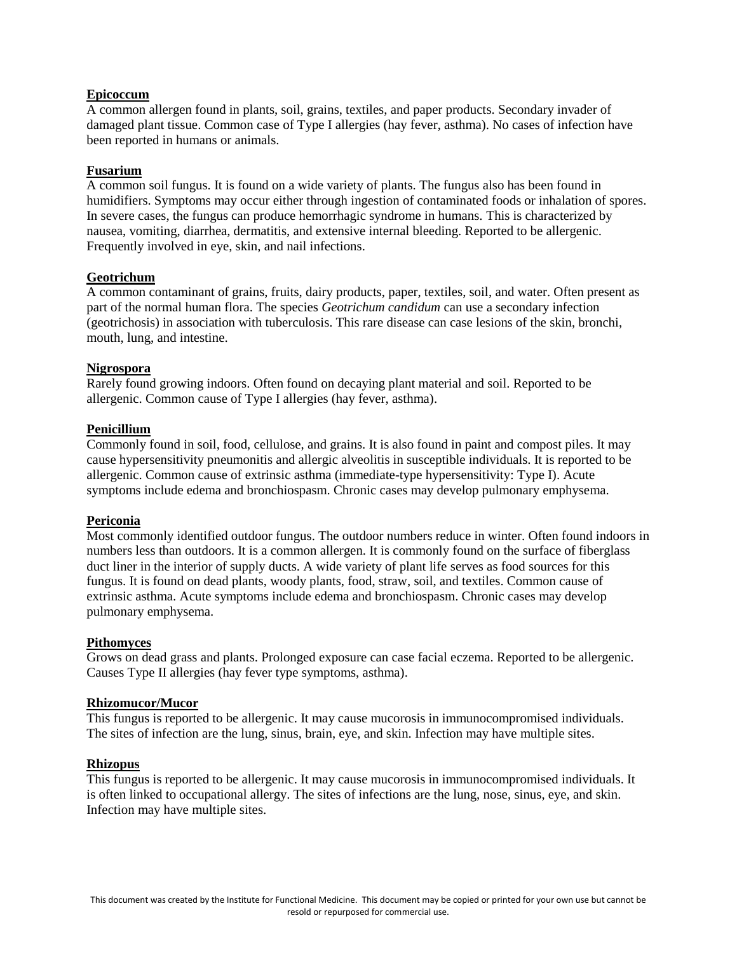## **Epicoccum**

A common allergen found in plants, soil, grains, textiles, and paper products. Secondary invader of damaged plant tissue. Common case of Type I allergies (hay fever, asthma). No cases of infection have been reported in humans or animals.

### **Fusarium**

A common soil fungus. It is found on a wide variety of plants. The fungus also has been found in humidifiers. Symptoms may occur either through ingestion of contaminated foods or inhalation of spores. In severe cases, the fungus can produce hemorrhagic syndrome in humans. This is characterized by nausea, vomiting, diarrhea, dermatitis, and extensive internal bleeding. Reported to be allergenic. Frequently involved in eye, skin, and nail infections.

## **Geotrichum**

A common contaminant of grains, fruits, dairy products, paper, textiles, soil, and water. Often present as part of the normal human flora. The species *Geotrichum candidum* can use a secondary infection (geotrichosis) in association with tuberculosis. This rare disease can case lesions of the skin, bronchi, mouth, lung, and intestine.

## **Nigrospora**

Rarely found growing indoors. Often found on decaying plant material and soil. Reported to be allergenic. Common cause of Type I allergies (hay fever, asthma).

## **Penicillium**

Commonly found in soil, food, cellulose, and grains. It is also found in paint and compost piles. It may cause hypersensitivity pneumonitis and allergic alveolitis in susceptible individuals. It is reported to be allergenic. Common cause of extrinsic asthma (immediate-type hypersensitivity: Type I). Acute symptoms include edema and bronchiospasm. Chronic cases may develop pulmonary emphysema.

### **Periconia**

Most commonly identified outdoor fungus. The outdoor numbers reduce in winter. Often found indoors in numbers less than outdoors. It is a common allergen. It is commonly found on the surface of fiberglass duct liner in the interior of supply ducts. A wide variety of plant life serves as food sources for this fungus. It is found on dead plants, woody plants, food, straw, soil, and textiles. Common cause of extrinsic asthma. Acute symptoms include edema and bronchiospasm. Chronic cases may develop pulmonary emphysema.

### **Pithomyces**

Grows on dead grass and plants. Prolonged exposure can case facial eczema. Reported to be allergenic. Causes Type II allergies (hay fever type symptoms, asthma).

## **Rhizomucor/Mucor**

This fungus is reported to be allergenic. It may cause mucorosis in immunocompromised individuals. The sites of infection are the lung, sinus, brain, eye, and skin. Infection may have multiple sites.

### **Rhizopus**

This fungus is reported to be allergenic. It may cause mucorosis in immunocompromised individuals. It is often linked to occupational allergy. The sites of infections are the lung, nose, sinus, eye, and skin. Infection may have multiple sites.